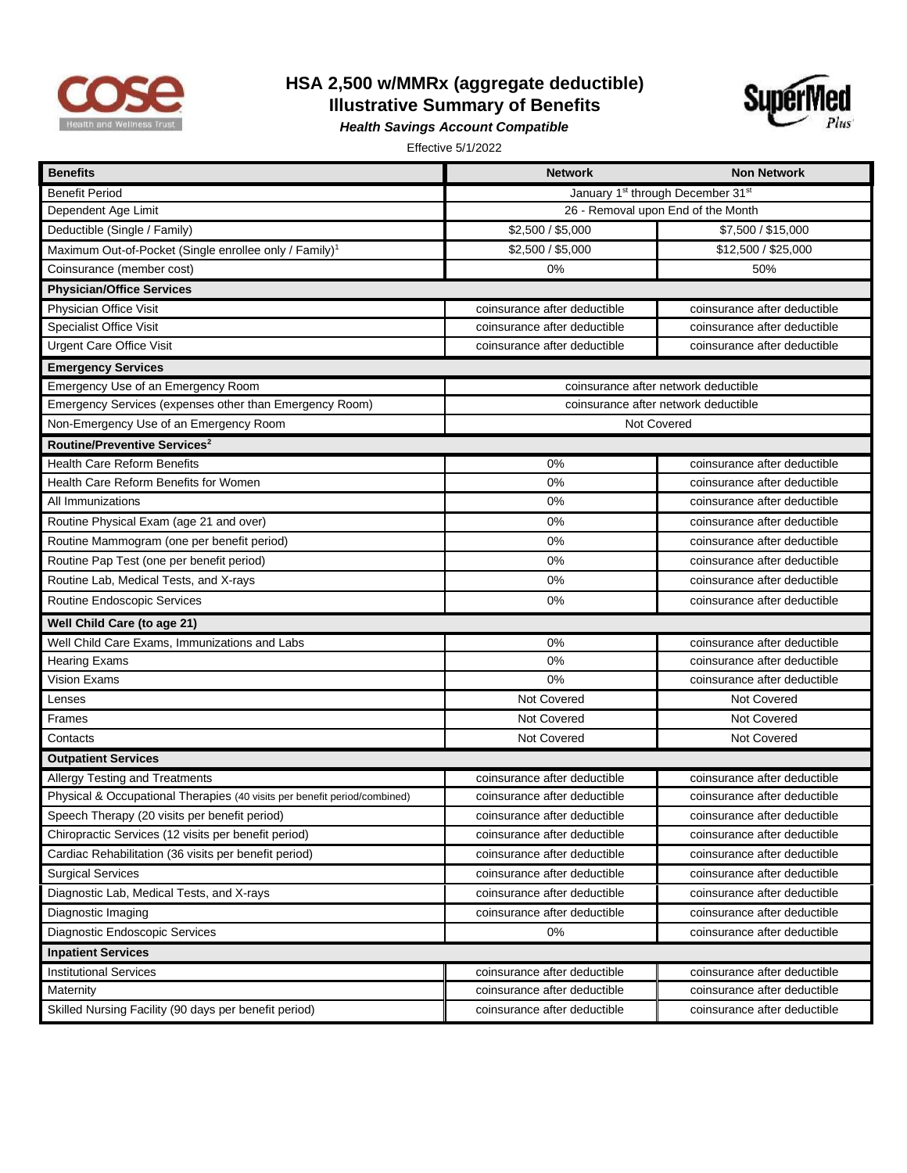

## **HSA 2,500 w/MMRx (aggregate deductible) Illustrative Summary of Benefits**



*Health Savings Account Compatible* 

Effective 5/1/2022

| <b>Benefits</b>                                                           | <b>Network</b>                                            | <b>Non Network</b>           |  |
|---------------------------------------------------------------------------|-----------------------------------------------------------|------------------------------|--|
| <b>Benefit Period</b>                                                     | January 1 <sup>st</sup> through December 31 <sup>st</sup> |                              |  |
| Dependent Age Limit                                                       | 26 - Removal upon End of the Month                        |                              |  |
| Deductible (Single / Family)                                              | \$2,500 / \$5,000                                         | \$7,500 / \$15,000           |  |
| Maximum Out-of-Pocket (Single enrollee only / Family) <sup>1</sup>        | \$2,500 / \$5,000                                         | \$12,500 / \$25,000          |  |
| Coinsurance (member cost)                                                 | 0%                                                        | 50%                          |  |
| <b>Physician/Office Services</b>                                          |                                                           |                              |  |
| Physician Office Visit                                                    | coinsurance after deductible                              | coinsurance after deductible |  |
| <b>Specialist Office Visit</b>                                            | coinsurance after deductible                              | coinsurance after deductible |  |
| <b>Urgent Care Office Visit</b>                                           | coinsurance after deductible                              | coinsurance after deductible |  |
| <b>Emergency Services</b>                                                 |                                                           |                              |  |
| Emergency Use of an Emergency Room                                        | coinsurance after network deductible                      |                              |  |
| Emergency Services (expenses other than Emergency Room)                   | coinsurance after network deductible                      |                              |  |
| Non-Emergency Use of an Emergency Room                                    | Not Covered                                               |                              |  |
| Routine/Preventive Services <sup>2</sup>                                  |                                                           |                              |  |
| <b>Health Care Reform Benefits</b>                                        | 0%                                                        | coinsurance after deductible |  |
| Health Care Reform Benefits for Women                                     | 0%                                                        | coinsurance after deductible |  |
| All Immunizations                                                         | 0%                                                        | coinsurance after deductible |  |
| Routine Physical Exam (age 21 and over)                                   | 0%                                                        | coinsurance after deductible |  |
| Routine Mammogram (one per benefit period)                                | 0%                                                        | coinsurance after deductible |  |
| Routine Pap Test (one per benefit period)                                 | 0%                                                        | coinsurance after deductible |  |
| Routine Lab, Medical Tests, and X-rays                                    | 0%                                                        | coinsurance after deductible |  |
| Routine Endoscopic Services                                               | 0%                                                        | coinsurance after deductible |  |
| Well Child Care (to age 21)                                               |                                                           |                              |  |
| Well Child Care Exams, Immunizations and Labs                             | 0%                                                        | coinsurance after deductible |  |
| <b>Hearing Exams</b>                                                      | 0%                                                        | coinsurance after deductible |  |
| <b>Vision Exams</b>                                                       | 0%                                                        | coinsurance after deductible |  |
| Lenses                                                                    | Not Covered                                               | Not Covered                  |  |
| Frames                                                                    | Not Covered                                               | Not Covered                  |  |
| Contacts                                                                  | <b>Not Covered</b>                                        | Not Covered                  |  |
| <b>Outpatient Services</b>                                                |                                                           |                              |  |
| Allergy Testing and Treatments                                            | coinsurance after deductible                              | coinsurance after deductible |  |
| Physical & Occupational Therapies (40 visits per benefit period/combined) | coinsurance after deductible                              | coinsurance after deductible |  |
| Speech Therapy (20 visits per benefit period)                             | coinsurance after deductible                              | coinsurance after deductible |  |
| Chiropractic Services (12 visits per benefit period)                      | coinsurance after deductible                              | coinsurance after deductible |  |
| Cardiac Rehabilitation (36 visits per benefit period)                     | coinsurance after deductible                              | coinsurance after deductible |  |
| <b>Surgical Services</b>                                                  | coinsurance after deductible                              | coinsurance after deductible |  |
| Diagnostic Lab, Medical Tests, and X-rays                                 | coinsurance after deductible                              | coinsurance after deductible |  |
| Diagnostic Imaging                                                        | coinsurance after deductible                              | coinsurance after deductible |  |
| Diagnostic Endoscopic Services                                            | 0%                                                        | coinsurance after deductible |  |
| <b>Inpatient Services</b>                                                 |                                                           |                              |  |
| <b>Institutional Services</b>                                             | coinsurance after deductible                              | coinsurance after deductible |  |
| Maternity                                                                 | coinsurance after deductible                              | coinsurance after deductible |  |
| Skilled Nursing Facility (90 days per benefit period)                     | coinsurance after deductible                              | coinsurance after deductible |  |